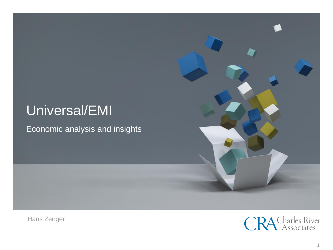## Universal/EMI

Economic analysis and insights



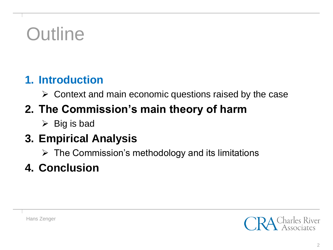# **Outline**

#### **1. Introduction**

 $\triangleright$  Context and main economic questions raised by the case

## **2. The Commission's main theory of harm**

 $\triangleright$  Big is bad

### **3. Empirical Analysis**

 $\triangleright$  The Commission's methodology and its limitations

### **4. Conclusion**

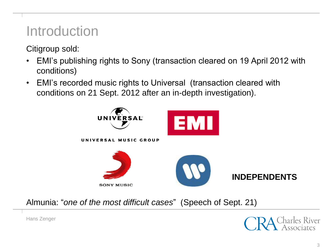## Introduction

Citigroup sold:

- EMI's publishing rights to Sony (transaction cleared on 19 April 2012 with conditions)
- EMI's recorded music rights to Universal (transaction cleared with conditions on 21 Sept. 2012 after an in-depth investigation).



Almunia: "*one of the most difficult cases*" (Speech of Sept. 21)

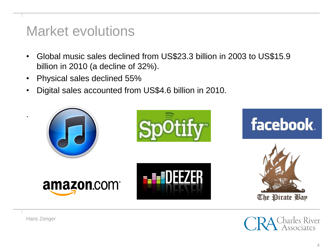### Market evolutions

- Global music sales declined from US\$23.3 billion in 2003 to US\$15.9 billion in 2010 (a decline of 32%).
- Physical sales declined 55%
- Digital sales accounted from US\$4.6 billion in 2010.



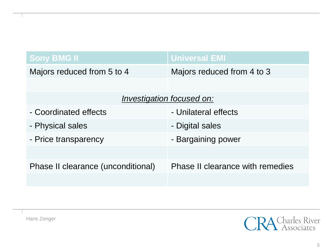| <b>Sony BMG II</b>                 | <b>Universal EMI</b>                    |
|------------------------------------|-----------------------------------------|
| Majors reduced from 5 to 4         | Majors reduced from 4 to 3              |
|                                    |                                         |
| <b>Investigation focused on:</b>   |                                         |
| - Coordinated effects              | - Unilateral effects                    |
| - Physical sales                   | - Digital sales                         |
| - Price transparency               | - Bargaining power                      |
|                                    |                                         |
| Phase II clearance (unconditional) | <b>Phase II clearance with remedies</b> |
|                                    |                                         |

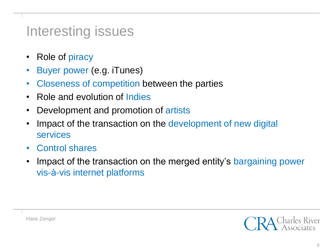## Interesting issues

- Role of piracy
- Buyer power (e.g. iTunes)
- Closeness of competition between the parties
- Role and evolution of Indies
- Development and promotion of artists
- Impact of the transaction on the development of new digital services
- Control shares
- Impact of the transaction on the merged entity's bargaining power vis-à-vis internet platforms

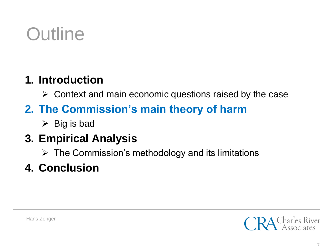# **Outline**

#### **1. Introduction**

 $\triangleright$  Context and main economic questions raised by the case

## **2. The Commission's main theory of harm**

 $\triangleright$  Big is bad

### **3. Empirical Analysis**

 $\triangleright$  The Commission's methodology and its limitations

### **4. Conclusion**

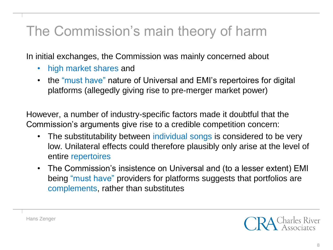## The Commission's main theory of harm

In initial exchanges, the Commission was mainly concerned about

- high market shares and
- the "must have" nature of Universal and EMI's repertoires for digital platforms (allegedly giving rise to pre-merger market power)

However, a number of industry-specific factors made it doubtful that the Commission's arguments give rise to a credible competition concern:

- The substitutability between individual songs is considered to be very low. Unilateral effects could therefore plausibly only arise at the level of entire repertoires
- The Commission's insistence on Universal and (to a lesser extent) EMI being "must have" providers for platforms suggests that portfolios are complements, rather than substitutes

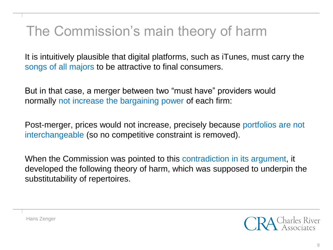## The Commission's main theory of harm

It is intuitively plausible that digital platforms, such as iTunes, must carry the songs of all majors to be attractive to final consumers.

But in that case, a merger between two "must have" providers would normally not increase the bargaining power of each firm:

Post-merger, prices would not increase, precisely because portfolios are not interchangeable (so no competitive constraint is removed).

When the Commission was pointed to this contradiction in its argument, it developed the following theory of harm, which was supposed to underpin the substitutability of repertoires.

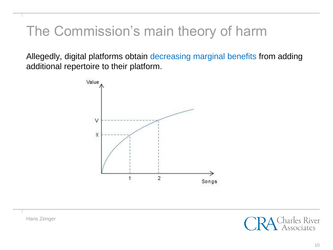## The Commission's main theory of harm

Allegedly, digital platforms obtain decreasing marginal benefits from adding additional repertoire to their platform.



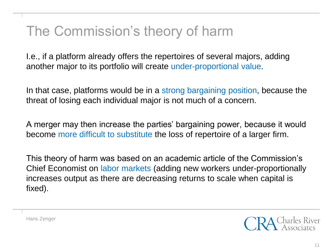## The Commission's theory of harm

I.e., if a platform already offers the repertoires of several majors, adding another major to its portfolio will create under-proportional value.

In that case, platforms would be in a strong bargaining position, because the threat of losing each individual major is not much of a concern.

A merger may then increase the parties' bargaining power, because it would become more difficult to substitute the loss of repertoire of a larger firm.

This theory of harm was based on an academic article of the Commission's Chief Economist on labor markets (adding new workers under-proportionally increases output as there are decreasing returns to scale when capital is fixed).

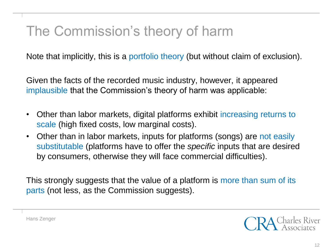## The Commission's theory of harm

Note that implicitly, this is a portfolio theory (but without claim of exclusion).

Given the facts of the recorded music industry, however, it appeared implausible that the Commission's theory of harm was applicable:

- Other than labor markets, digital platforms exhibit increasing returns to scale (high fixed costs, low marginal costs).
- Other than in labor markets, inputs for platforms (songs) are not easily substitutable (platforms have to offer the *specific* inputs that are desired by consumers, otherwise they will face commercial difficulties).

This strongly suggests that the value of a platform is more than sum of its parts (not less, as the Commission suggests).

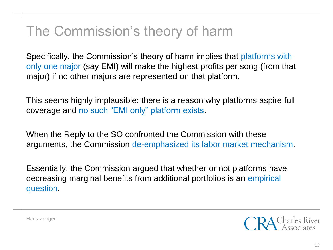## The Commission's theory of harm

Specifically, the Commission's theory of harm implies that platforms with only one major (say EMI) will make the highest profits per song (from that major) if no other majors are represented on that platform.

This seems highly implausible: there is a reason why platforms aspire full coverage and no such "EMI only" platform exists.

When the Reply to the SO confronted the Commission with these arguments, the Commission de-emphasized its labor market mechanism.

Essentially, the Commission argued that whether or not platforms have decreasing marginal benefits from additional portfolios is an empirical question.

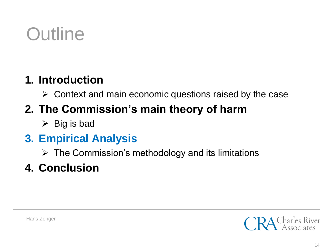# **Outline**

#### **1. Introduction**

 $\triangleright$  Context and main economic questions raised by the case

## **2. The Commission's main theory of harm**

 $\triangleright$  Big is bad

#### **3. Empirical Analysis**

 $\triangleright$  The Commission's methodology and its limitations

### **4. Conclusion**

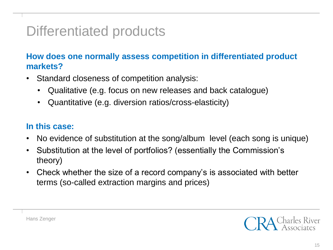## Differentiated products

**How does one normally assess competition in differentiated product markets?**

- Standard closeness of competition analysis:
	- Qualitative (e.g. focus on new releases and back catalogue)
	- Quantitative (e.g. diversion ratios/cross-elasticity)

#### **In this case:**

- No evidence of substitution at the song/album level (each song is unique)
- Substitution at the level of portfolios? (essentially the Commission's theory)
- Check whether the size of a record company's is associated with better terms (so-called extraction margins and prices)



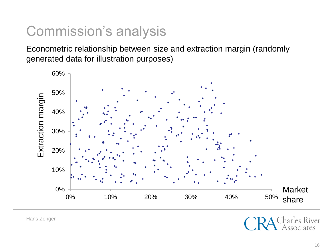## Commission's analysis

Econometric relationship between size and extraction margin (randomly generated data for illustration purposes)

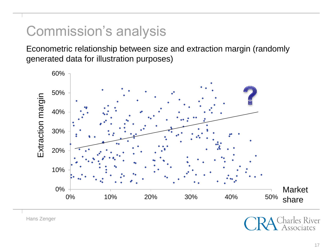## Commission's analysis

Econometric relationship between size and extraction margin (randomly generated data for illustration purposes)

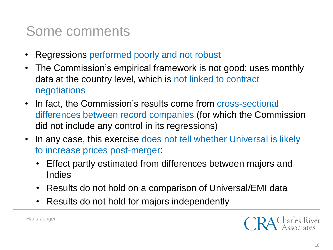## Some comments

- Regressions performed poorly and not robust
- The Commission's empirical framework is not good: uses monthly data at the country level, which is not linked to contract negotiations
- In fact, the Commission's results come from cross-sectional differences between record companies (for which the Commission did not include any control in its regressions)
- In any case, this exercise does not tell whether Universal is likely to increase prices post-merger:
	- Effect partly estimated from differences between majors and **Indies**
	- Results do not hold on a comparison of Universal/EMI data
	- Results do not hold for majors independently

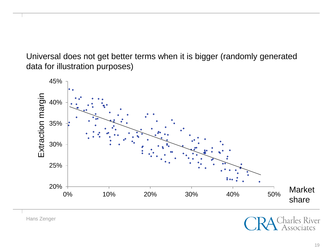Universal does not get better terms when it is bigger (randomly generated data for illustration purposes)



Hans Zenger

arles River sociates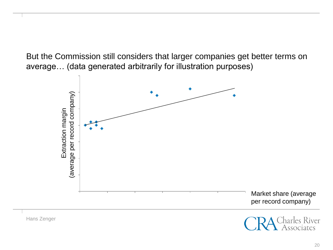But the Commission still considers that larger companies get better terms on average… (data generated arbitrarily for illustration purposes)

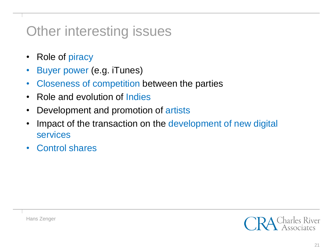## Other interesting issues

- Role of piracy
- Buyer power (e.g. iTunes)
- Closeness of competition between the parties
- Role and evolution of Indies
- Development and promotion of artists
- Impact of the transaction on the development of new digital services
- Control shares

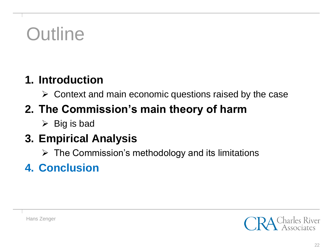# **Outline**

#### **1. Introduction**

 $\triangleright$  Context and main economic questions raised by the case

## **2. The Commission's main theory of harm**

 $\triangleright$  Big is bad

#### **3. Empirical Analysis**

 $\triangleright$  The Commission's methodology and its limitations

## **4. Conclusion**

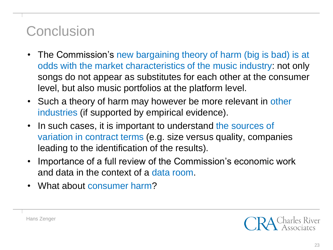## **Conclusion**

- The Commission's new bargaining theory of harm (big is bad) is at odds with the market characteristics of the music industry: not only songs do not appear as substitutes for each other at the consumer level, but also music portfolios at the platform level.
- Such a theory of harm may however be more relevant in other industries (if supported by empirical evidence).
- In such cases, it is important to understand the sources of variation in contract terms (e.g. size versus quality, companies leading to the identification of the results).
- Importance of a full review of the Commission's economic work and data in the context of a data room.
- What about consumer harm?

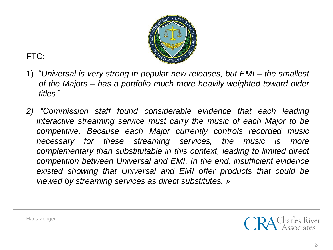

#### FTC:

- 1) "*Universal is very strong in popular new releases, but EMI – the smallest of the Majors – has a portfolio much more heavily weighted toward older titles*."
- *2) "Commission staff found considerable evidence that each leading interactive streaming service must carry the music of each Major to be competitive. Because each Major currently controls recorded music necessary for these streaming services, the music is more complementary than substitutable in this context, leading to limited direct competition between Universal and EMI. In the end, insufficient evidence existed showing that Universal and EMI offer products that could be viewed by streaming services as direct substitutes. »*